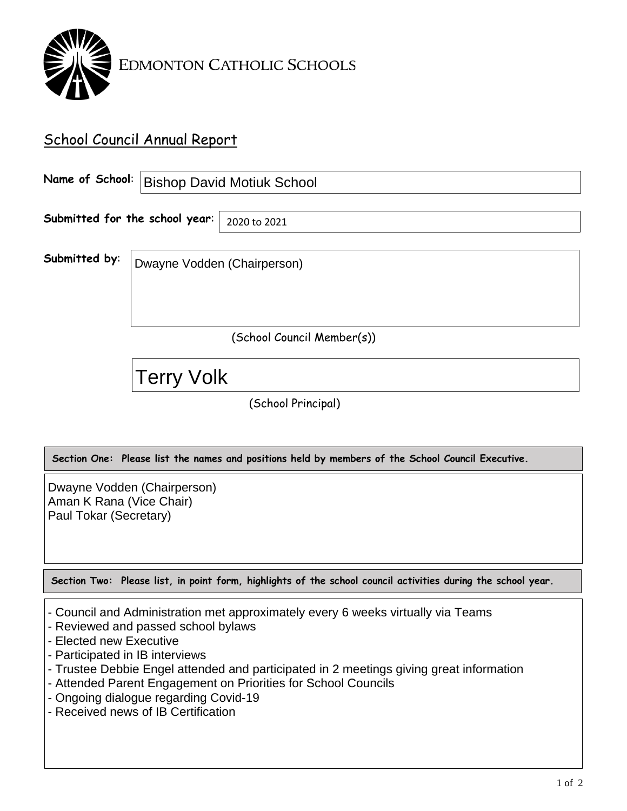

## School Council Annual Report

|                                |                             | Name of School:   Bishop David Motiuk School |  |  |
|--------------------------------|-----------------------------|----------------------------------------------|--|--|
| Submitted for the school year: |                             | 2020 to 2021                                 |  |  |
| Submitted by:                  | Dwayne Vodden (Chairperson) |                                              |  |  |
| (School Council Member(s))     |                             |                                              |  |  |
|                                | <b>Terry Volk</b>           |                                              |  |  |

(School Principal)

**Section One: Please list the names and positions held by members of the School Council Executive.**

Dwayne Vodden (Chairperson) Aman K Rana (Vice Chair) Paul Tokar (Secretary)

**Section Two: Please list, in point form, highlights of the school council activities during the school year.**

- Council and Administration met approximately every 6 weeks virtually via Teams
- Reviewed and passed school bylaws
- Elected new Executive
- Participated in IB interviews
- Trustee Debbie Engel attended and participated in 2 meetings giving great information
- Attended Parent Engagement on Priorities for School Councils
- Ongoing dialogue regarding Covid-19
- Received news of IB Certification